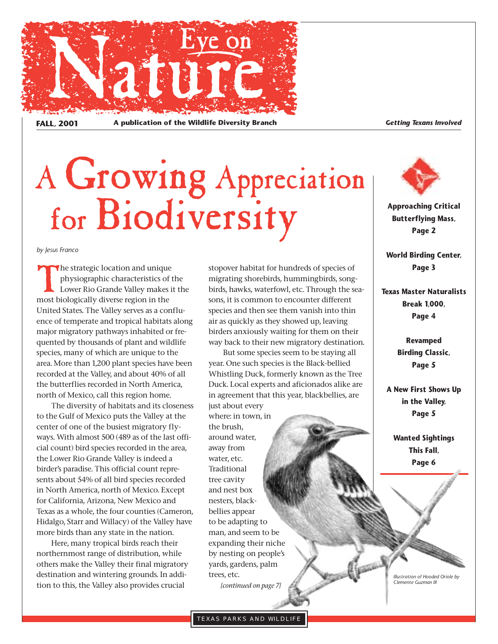

FALL, 2001 A publication of the Wildlife Diversity Branch<br> **FALL, 2001** A publication of the Wildlife Diversity Branch

# A Growing Appreciation for Biodiversity

*by Jesus Franco*

The strategic location and unique physiographic characteristics of the Lower Rio Grande Valley makes it the most biologically diverse region in the United States. The Valley serves as a confluence of temperate and tropical habitats along major migratory pathways inhabited or frequented by thousands of plant and wildlife species, many of which are unique to the area. More than 1,200 plant species have been recorded at the Valley, and about 40% of all the butterflies recorded in North America, north of Mexico, call this region home.

The diversity of habitats and its closeness to the Gulf of Mexico puts the Valley at the center of one of the busiest migratory flyways. With almost 500 (489 as of the last official count) bird species recorded in the area, the Lower Rio Grande Valley is indeed a birder's paradise. This official count represents about 54% of all bird species recorded in North America, north of Mexico. Except for California, Arizona, New Mexico and Texas as a whole, the four counties (Cameron, Hidalgo, Starr and Willacy) of the Valley have more birds than any state in the nation.

Here, many tropical birds reach their northernmost range of distribution, while others make the Valley their final migratory destination and wintering grounds. In addition to this, the Valley also provides crucial

stopover habitat for hundreds of species of migrating shorebirds, hummingbirds, songbirds, hawks, waterfowl, etc. Through the seasons, it is common to encounter different species and then see them vanish into thin air as quickly as they showed up, leaving birders anxiously waiting for them on their way back to their new migratory destination.

But some species seem to be staying all year. One such species is the Black-bellied Whistling Duck, formerly known as the Tree Duck. Local experts and aficionados alike are in agreement that this year, blackbellies, are just about every

where: in town, in the brush, around water, away from water, etc. Traditional tree cavity and nest box nesters, blackbellies appear to be adapting to man, and seem to be expanding their niche by nesting on people's yards, gardens, palm trees, etc. *[continued on page 7]*



**Approaching Critical Butterflying Mass, Page 2**

**World Birding Center, Page 3**

**Texas Master Naturalists Break 1,000, Page 4**

> **Revamped Birding Classic, Page 5**

**A New First Shows Up in the Valley, Page 5**

**Wanted Sightings This Fall, Page 6**

*Illustration of Hooded Oriole by Clemente Guzman III*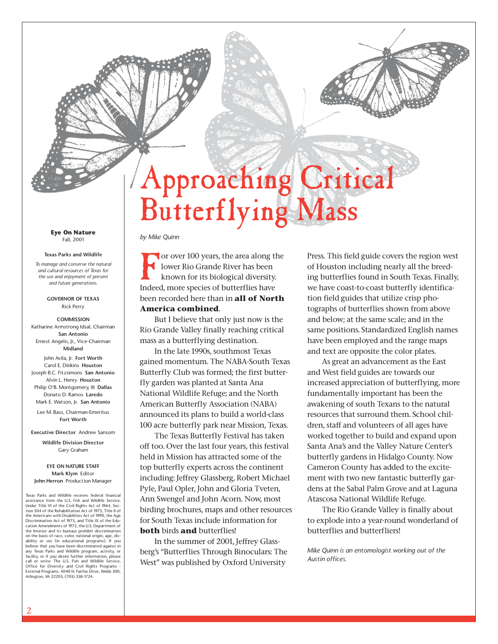## Approaching Critical Butterflying Mass

**Eye On Nature** Fall, 2001

#### **Texas Parks and Wildlife**

*To manage and conserve the natural and cultural resources of Texas for the use and enjoyment of present and future generations.*

> **GOVERNOR OF TEXAS** Rick Perry

**COMMISSION** Katharine Armstrong Idsal, Chairman **San Antonio** Ernest Angelo, Jr., Vice-Chairman **Midland**

John Avila, Jr. **Fort Worth** Carol E. Dinkins **Houston** Joseph B.C. Fitzsimons **San Antonio** Alvin L. Henry **Houston** Philip O'B. Montgomery, III **Dallas** Donato D. Ramos **Laredo** Mark E. Watson, Jr. **San Antonio**

Lee M. Bass, Chairman-Emeritus **Fort Worth**

**Executive Director** Andrew Sansom

**Wildlife Division Director** Gary Graham

**EYE ON NATURE STAFF Mark Klym** Editor **John Herron** Production Manager

Texas Parks and Wildlife receives federal financial assistance from the U.S. Fish and Wildlife Service. Under Title VI of the Civil Rights Act of 1964, Sec-tion 504 of the Rehabilitation Act of 1973, Title II of the Americans with Disabilities Act of 1990, the Age Discrimination Act of 1975, and Title IX of the Edu-cation Amendments of 1972, the U.S. Department of the Interior and its bureaus prohibit discrimination on the basis of race, color, national origin, age, disability or sex (in educational programs). If you believe that you have been discriminated against in any Texas Parks and Wildlife program, activity, or facility, or if you desire further information, please call or write: The U.S. Fish and Wildlife Service, Office for Diversity and Civil Rights Programs - External Programs, 4040 N. Fairfax Drive, Webb 300, Arlington, VA 22203, (703) 358-1724.

#### *by Mike Quinn*

For over 100 years, the area along the lower Rio Grande River has been known for its biological diversity. Indeed, more species of butterflies have been recorded here than in **all of North America combined**.

But I believe that only just now is the Rio Grande Valley finally reaching critical mass as a butterflying destination.

In the late 1990s, southmost Texas gained momentum. The NABA-South Texas Butterfly Club was formed; the first butterfly garden was planted at Santa Ana National Wildlife Refuge; and the North American Butterfly Association (NABA) announced its plans to build a world-class 100 acre butterfly park near Mission, Texas.

The Texas Butterfly Festival has taken off too. Over the last four years, this festival held in Mission has attracted some of the top butterfly experts across the continent including: Jeffrey Glassberg, Robert Michael Pyle, Paul Opler, John and Gloria Tveten, Ann Swengel and John Acorn. Now, most birding brochures, maps and other resources for South Texas include information for **both** birds **and** butterflies!

In the summer of 2001, Jeffrey Glassberg's "Butterflies Through Binoculars: The West" was published by Oxford University

Press. This field guide covers the region west of Houston including nearly all the breeding butterflies found in South Texas. Finally, we have coast-to-coast butterfly identification field guides that utilize crisp photographs of butterflies shown from above and below; at the same scale; and in the same positions. Standardized English names have been employed and the range maps and text are opposite the color plates.

As great an advancement as the East and West field guides are towards our increased appreciation of butterflying, more fundamentally important has been the awakening of south Texans to the natural resources that surround them. School children, staff and volunteers of all ages have worked together to build and expand upon Santa Ana's and the Valley Nature Center's butterfly gardens in Hidalgo County. Now Cameron County has added to the excitement with two new fantastic butterfly gardens at the Sabal Palm Grove and at Laguna Atascosa National Wildlife Refuge.

The Rio Grande Valley is finally about to explode into a year-round wonderland of butterflies and butterfliers!

*Mike Quinn is an entomologist working out of the Austin offices.*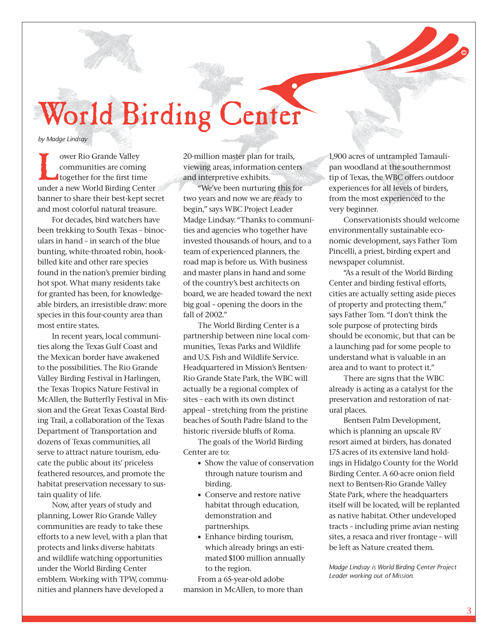World Birding Center

*by Madge Lindsay*

ower Rio Grande Valley<br>
communities are comin<br>
together for the first tin<br>
under a new World Birding Ce communities are coming together for the first time under a new World Birding Center banner to share their best-kept secret and most colorful natural treasure.

For decades, bird watchers have been trekking to South Texas – binoculars in hand – in search of the blue bunting, white-throated robin, hookbilled kite and other rare species found in the nation's premier birding hot spot. What many residents take for granted has been, for knowledgeable birders, an irresistible draw: more species in this four-county area than most entire states.

In recent years, local communities along the Texas Gulf Coast and the Mexican border have awakened to the possibilities. The Rio Grande Valley Birding Festival in Harlingen, the Texas Tropics Nature Festival in McAllen, the Butterfly Festival in Mission and the Great Texas Coastal Birding Trail, a collaboration of the Texas Department of Transportation and dozens of Texas communities, all serve to attract nature tourism, educate the public about its' priceless feathered resources, and promote the habitat preservation necessary to sustain quality of life.

Now, after years of study and planning, Lower Rio Grande Valley communities are ready to take these efforts to a new level, with a plan that protects and links diverse habitats and wildlife watching opportunities under the World Birding Center emblem. Working with TPW, communities and planners have developed a

20-million master plan for trails, viewing areas, information centers and interpretive exhibits.

"We've been nurturing this for two years and now we are ready to begin," says WBC Project Leader Madge Lindsay. "Thanks to communities and agencies who together have invested thousands of hours, and to a team of experienced planners, the road map is before us. With business and master plans in hand and some of the country's best architects on board, we are headed toward the next big goal – opening the doors in the fall of 2002."

The World Birding Center is a partnership between nine local communities, Texas Parks and Wildlife and U.S. Fish and Wildlife Service. Headquartered in Mission's Bentsen-Rio Grande State Park, the WBC will actually be a regional complex of sites – each with its own distinct appeal – stretching from the pristine beaches of South Padre Island to the historic riverside bluffs of Roma.

The goals of the World Birding Center are to:

- Show the value of conservation through nature tourism and birding.
- Conserve and restore native habitat through education, demonstration and partnerships.
- Enhance birding tourism, which already brings an estimated \$100 million annually to the region.

From a 65-year-old adobe mansion in McAllen, to more than 1,900 acres of untrampled Tamaulipan woodland at the southernmost tip of Texas, the WBC offers outdoor experiences for all levels of birders, from the most experienced to the very beginner.

Conservationists should welcome environmentally sustainable economic development, says Father Tom Pincelli, a priest, birding expert and newspaper columnist.

"As a result of the World Birding Center and birding festival efforts, cities are actually setting aside pieces of property and protecting them," says Father Tom. "I don't think the sole purpose of protecting birds should be economic, but that can be a launching pad for some people to understand what is valuable in an area and to want to protect it."

There are signs that the WBC already is acting as a catalyst for the preservation and restoration of natural places.

Bentsen Palm Development, which is planning an upscale RV resort aimed at birders, has donated 175 acres of its extensive land holdings in Hidalgo County for the World Birding Center. A 60-acre onion field next to Bentsen-Rio Grande Valley State Park, where the headquarters itself will be located, will be replanted as native habitat. Other undeveloped tracts – including prime avian nesting sites, a resaca and river frontage – will be left as Nature created them.

*Madge Lindsay is World Birding Center Project Leader working out of Mission.*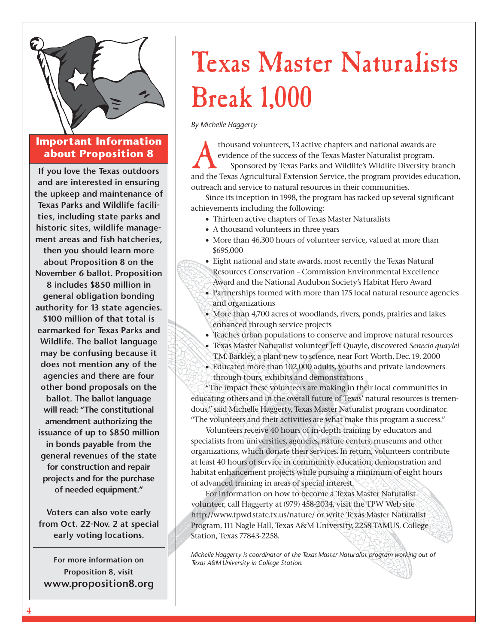

### **Important Information about Proposition 8**

**If you love the Texas outdoors and are interested in ensuring the upkeep and maintenance of Texas Parks and Wildlife facilities, including state parks and historic sites, wildlife management areas and fish hatcheries, then you should learn more about Proposition 8 on the November 6 ballot. Proposition 8 includes \$850 million in general obligation bonding authority for 13 state agencies. \$100 million of that total is earmarked for Texas Parks and Wildlife. The ballot language may be confusing because it does not mention any of the agencies and there are four other bond proposals on the ballot. The ballot language will read: "The constitutional amendment authorizing the issuance of up to \$850 million in bonds payable from the general revenues of the state for construction and repair projects and for the purchase of needed equipment."**

**Voters can also vote early from Oct. 22-Nov. 2 at special early voting locations.**

**For more information on Proposition 8, visit www.proposition8.org**

## Texas Master Naturalists Break 1,000

*By Michelle Haggerty*

thousand volunteers, 13 active chapters and national awards are<br>evidence of the success of the Texas Master Naturalist program.<br>Sponsored by Texas Parks and Wildlife's Wildlife Diversity br<br>and the Texas Agricultural Exten evidence of the success of the Texas Master Naturalist program. Sponsored by Texas Parks and Wildlife's Wildlife Diversity branch and the Texas Agricultural Extension Service, the program provides education, outreach and service to natural resources in their communities.

Since its inception in 1998, the program has racked up several significant achievements including the following:

- Thirteen active chapters of Texas Master Naturalists
- A thousand volunteers in three years
- More than 46,300 hours of volunteer service, valued at more than \$695,000
- Eight national and state awards, most recently the Texas Natural Resources Conservation – Commission Environmental Excellence Award and the National Audubon Society's Habitat Hero Award
- Partnerships formed with more than 175 local natural resource agencies and organizations
- More than 4,700 acres of woodlands, rivers, ponds, prairies and lakes enhanced through service projects
- Teaches urban populations to conserve and improve natural resources
- Texas Master Naturalist volunteer Jeff Quayle, discovered *Senecio quaylei* T.M. Barkley, a plant new to science, near Fort Worth, Dec. 19, 2000
- Educated more than 102,000 adults, youths and private landowners through tours, exhibits and demonstrations

"The impact these volunteers are making in their local communities in educating others and in the overall future of Texas' natural resources is tremendous," said Michelle Haggerty, Texas Master Naturalist program coordinator. "The volunteers and their activities are what make this program a success."

Volunteers receive 40 hours of in-depth training by educators and specialists from universities, agencies, nature centers, museums and other organizations, which donate their services. In return, volunteers contribute at least 40 hours of service in community education, demonstration and habitat enhancement projects while pursuing a minimum of eight hours of advanced training in areas of special interest.

For information on how to become a Texas Master Naturalist volunteer, call Haggerty at (979) 458-2034, visit the TPW Web site http://www.tpwd.state.tx.us/nature/ or write Texas Master Naturalist Program, 111 Nagle Hall, Texas A&M University, 2258 TAMUS, College Station, Texas 77843-2258.

*Michelle Haggerty is coordinator of the Texas Master Naturalist program working out of Texas A&M University in College Station.*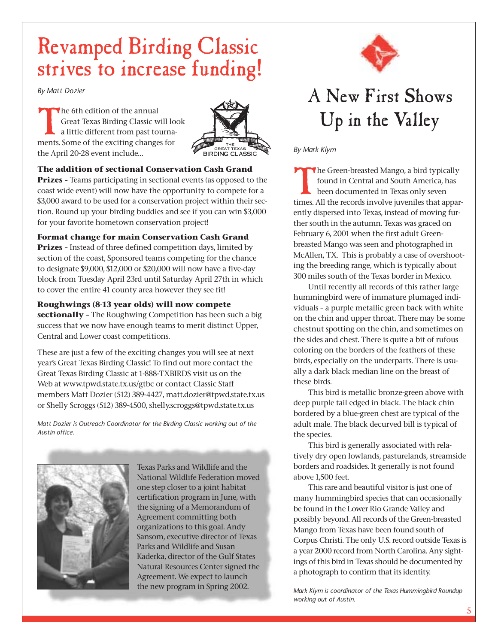### Revamped Birding Classic strives to increase funding!

*By Matt Dozier*

The 6th edition of the annual<br>Great Texas Birding Classic w<br>a little different from past to<br>ments Some of the exciting change Great Texas Birding Classic will look a little different from past tournaments. Some of the exciting changes for the April 20-28 event include…



### **The addition of sectional Conservation Cash Grand**

**Prizes –** Teams participating in sectional events (as opposed to the coast wide event) will now have the opportunity to compete for a \$3,000 award to be used for a conservation project within their section. Round up your birding buddies and see if you can win \$3,000 for your favorite hometown conservation project!

### **Format change for main Conservation Cash Grand**

**Prizes –** Instead of three defined competition days, limited by section of the coast, Sponsored teams competing for the chance to designate \$9,000, \$12,000 or \$20,000 will now have a five-day block from Tuesday April 23rd until Saturday April 27th in which to cover the entire 41 county area however they see fit!

### **Roughwings (8-13 year olds) will now compete**

**sectionally –** The Roughwing Competition has been such a big success that we now have enough teams to merit distinct Upper, Central and Lower coast competitions.

These are just a few of the exciting changes you will see at next year's Great Texas Birding Classic! To find out more contact the Great Texas Birding Classic at 1-888-TXBIRDS visit us on the Web at www.tpwd.state.tx.us/gtbc or contact Classic Staff members Matt Dozier (512) 389-4427, matt.dozier@tpwd.state.tx.us or Shelly Scroggs (512) 389-4500, shelly.scroggs@tpwd.state.tx.us

*Matt Dozier is Outreach Coordinator for the Birding Classic working out of the Austin office.*



Texas Parks and Wildlife and the National Wildlife Federation moved one step closer to a joint habitat certification program in June, with the signing of a Memorandum of Agreement committing both organizations to this goal. Andy Sansom, executive director of Texas Parks and Wildlife and Susan Kaderka, director of the Gulf States Natural Resources Center signed the Agreement. We expect to launch the new program in Spring 2002.



### A New First Shows Up in the Valley

*By Mark Klym*

The Green-breasted Mango, a bird typically found in Central and South America, has been documented in Texas only seven times. All the records involve juveniles that apparently dispersed into Texas, instead of moving further south in the autumn. Texas was graced on February 6, 2001 when the first adult Greenbreasted Mango was seen and photographed in McAllen, TX. This is probably a case of overshooting the breeding range, which is typically about 300 miles south of the Texas border in Mexico.

Until recently all records of this rather large hummingbird were of immature plumaged individuals – a purple metallic green back with white on the chin and upper throat. There may be some chestnut spotting on the chin, and sometimes on the sides and chest. There is quite a bit of rufous coloring on the borders of the feathers of these birds, especially on the underparts. There is usually a dark black median line on the breast of these birds.

This bird is metallic bronze-green above with deep purple tail edged in black. The black chin bordered by a blue-green chest are typical of the adult male. The black decurved bill is typical of the species.

This bird is generally associated with relatively dry open lowlands, pasturelands, streamside borders and roadsides. It generally is not found above 1,500 feet.

This rare and beautiful visitor is just one of many hummingbird species that can occasionally be found in the Lower Rio Grande Valley and possibly beyond. All records of the Green-breasted Mango from Texas have been found south of Corpus Christi. The only U.S. record outside Texas is a year 2000 record from North Carolina. Any sightings of this bird in Texas should be documented by a photograph to confirm that its identity.

*Mark Klym is coordinator of the Texas Hummingbird Roundup working out of Austin.*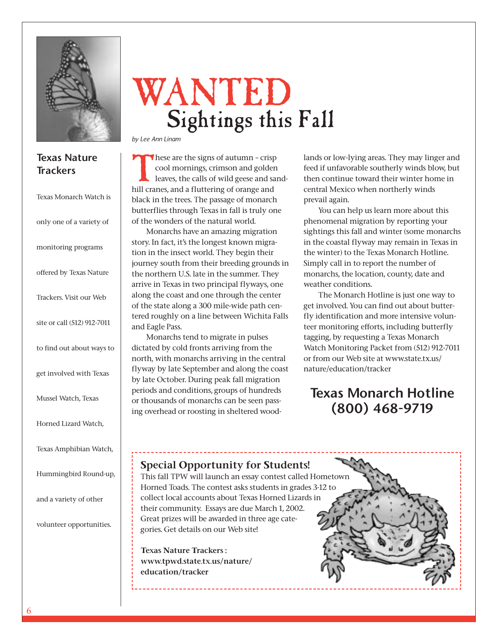

### **Texas Nature Trackers**

| Texas Monarch Watch is      |
|-----------------------------|
| only one of a variety of    |
| monitoring programs         |
| offered by Texas Nature     |
| Trackers. Visit our Web     |
| site or call (512) 912-7011 |
| to find out about ways to   |
| get involved with Texas     |
| Mussel Watch, Texas         |
| Horned Lizard Watch,        |
| Texas Amphibian Watch,      |
| Hummingbird Round-up,       |
| and a variety of other      |

volunteer opportunities.

## WANTED Sightings this Fall

*by Lee Ann Linam*

These are the signs of autumn – crisp<br>cool mornings, crimson and golden<br>leaves, the calls of wild geese and sa<br>hill cranes, and a fluttering of orange and cool mornings, crimson and golden leaves, the calls of wild geese and sandhill cranes, and a fluttering of orange and black in the trees. The passage of monarch butterflies through Texas in fall is truly one of the wonders of the natural world.

Monarchs have an amazing migration story. In fact, it's the longest known migration in the insect world. They begin their journey south from their breeding grounds in the northern U.S. late in the summer. They arrive in Texas in two principal flyways, one along the coast and one through the center of the state along a 300 mile-wide path centered roughly on a line between Wichita Falls and Eagle Pass.

Monarchs tend to migrate in pulses dictated by cold fronts arriving from the north, with monarchs arriving in the central flyway by late September and along the coast by late October. During peak fall migration periods and conditions, groups of hundreds or thousands of monarchs can be seen passing overhead or roosting in sheltered woodlands or low-lying areas. They may linger and feed if unfavorable southerly winds blow, but then continue toward their winter home in central Mexico when northerly winds prevail again.

You can help us learn more about this phenomenal migration by reporting your sightings this fall and winter (some monarchs in the coastal flyway may remain in Texas in the winter) to the Texas Monarch Hotline. Simply call in to report the number of monarchs, the location, county, date and weather conditions.

The Monarch Hotline is just one way to get involved. You can find out about butterfly identification and more intensive volunteer monitoring efforts, including butterfly tagging, by requesting a Texas Monarch Watch Monitoring Packet from (512) 912-7011 or from our Web site at www.state.tx.us/ nature/education/tracker

### **Texas Monarch Hotline (800) 468-9719**

### **Special Opportunity for Students!**

This fall TPW will launch an essay contest called Hometown Horned Toads. The contest asks students in grades 3-12 to collect local accounts about Texas Horned Lizards in their community. Essays are due March 1, 2002. Great prizes will be awarded in three age categories. Get details on our Web site!

**Texas Nature Trackers : www.tpwd.state.tx.us/nature/ education/tracker**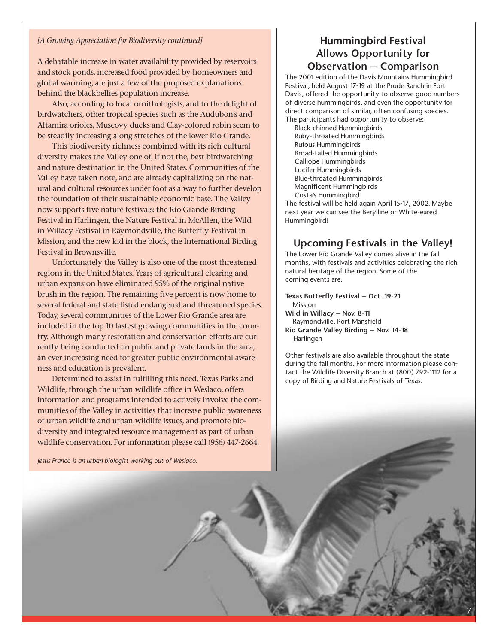#### *[A Growing Appreciation for Biodiversity continued]*

A debatable increase in water availability provided by reservoirs and stock ponds, increased food provided by homeowners and global warming, are just a few of the proposed explanations behind the blackbellies population increase.

Also, according to local ornithologists, and to the delight of birdwatchers, other tropical species such as the Audubon's and Altamira orioles, Muscovy ducks and Clay-colored robin seem to be steadily increasing along stretches of the lower Rio Grande.

This biodiversity richness combined with its rich cultural diversity makes the Valley one of, if not the, best birdwatching and nature destination in the United States. Communities of the Valley have taken note, and are already capitalizing on the natural and cultural resources under foot as a way to further develop the foundation of their sustainable economic base. The Valley now supports five nature festivals: the Rio Grande Birding Festival in Harlingen, the Nature Festival in McAllen, the Wild in Willacy Festival in Raymondville, the Butterfly Festival in Mission, and the new kid in the block, the International Birding Festival in Brownsville.

Unfortunately the Valley is also one of the most threatened regions in the United States. Years of agricultural clearing and urban expansion have eliminated 95% of the original native brush in the region. The remaining five percent is now home to several federal and state listed endangered and threatened species. Today, several communities of the Lower Rio Grande area are included in the top 10 fastest growing communities in the country. Although many restoration and conservation efforts are currently being conducted on public and private lands in the area, an ever-increasing need for greater public environmental awareness and education is prevalent.

Determined to assist in fulfilling this need, Texas Parks and Wildlife, through the urban wildlife office in Weslaco, offers information and programs intended to actively involve the communities of the Valley in activities that increase public awareness of urban wildlife and urban wildlife issues, and promote biodiversity and integrated resource management as part of urban wildlife conservation. For information please call (956) 447-2664.

*Jesus Franco is an urban biologist working out of Weslaco.*

### **Hummingbird Festival Allows Opportunity for Observation – Comparison**

The 2001 edition of the Davis Mountains Hummingbird Festival, held August 17-19 at the Prude Ranch in Fort Davis, offered the opportunity to observe good numbers of diverse hummingbirds, and even the opportunity for direct comparison of similar, often confusing species. The participants had opportunity to observe:

Black-chinned Hummingbirds Ruby-throated Hummingbirds Rufous Hummingbirds Broad-tailed Hummingbirds Calliope Hummingbirds Lucifer Hummingbirds Blue-throated Hummingbirds Magnificent Hummingbirds Costa's Hummingbird

The festival will be held again April 15-17, 2002. Maybe next year we can see the Berylline or White-eared Hummingbird!

### **Upcoming Festivals in the Valley!**

The Lower Rio Grande Valley comes alive in the fall months, with festivals and activities celebrating the rich natural heritage of the region. Some of the coming events are:

**Texas Butterfly Festival – Oct. 19-21** Mission **Wild in Willacy – Nov. 8-11** Raymondville, Port Mansfield

**Rio Grande Valley Birding – Nov. 14-18** Harlingen

Other festivals are also available throughout the state during the fall months. For more information please contact the Wildlife Diversity Branch at (800) 792-1112 for a copy of Birding and Nature Festivals of Texas.

7